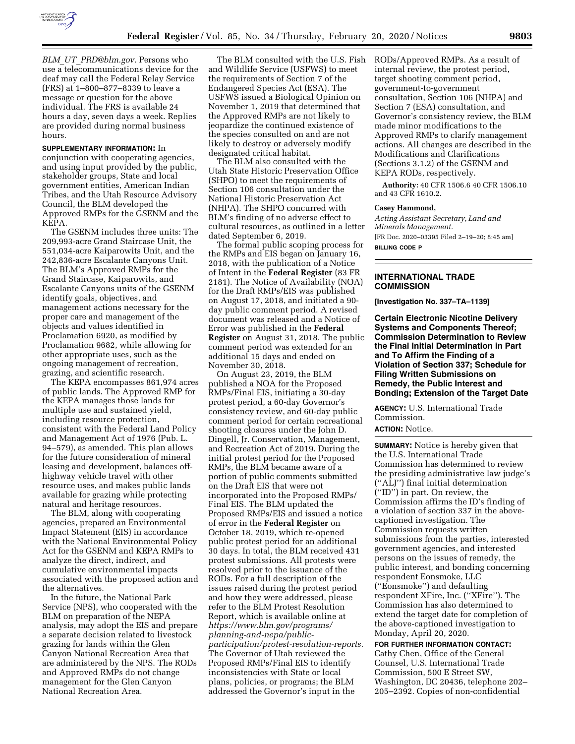

*BLM*\_*UT*\_*[PRD@blm.gov.](mailto:BLM_UT_PRD@blm.gov)* Persons who use a telecommunications device for the deaf may call the Federal Relay Service (FRS) at 1–800–877–8339 to leave a message or question for the above individual. The FRS is available 24 hours a day, seven days a week. Replies are provided during normal business hours.

**SUPPLEMENTARY INFORMATION:** In conjunction with cooperating agencies, and using input provided by the public, stakeholder groups, State and local government entities, American Indian Tribes, and the Utah Resource Advisory Council, the BLM developed the Approved RMPs for the GSENM and the KEPA.

The GSENM includes three units: The 209,993-acre Grand Staircase Unit, the 551,034-acre Kaiparowits Unit, and the 242,836-acre Escalante Canyons Unit. The BLM's Approved RMPs for the Grand Staircase, Kaiparowits, and Escalante Canyons units of the GSENM identify goals, objectives, and management actions necessary for the proper care and management of the objects and values identified in Proclamation 6920, as modified by Proclamation 9682, while allowing for other appropriate uses, such as the ongoing management of recreation, grazing, and scientific research.

The KEPA encompasses 861,974 acres of public lands. The Approved RMP for the KEPA manages those lands for multiple use and sustained yield, including resource protection, consistent with the Federal Land Policy and Management Act of 1976 (Pub. L. 94–579), as amended. This plan allows for the future consideration of mineral leasing and development, balances offhighway vehicle travel with other resource uses, and makes public lands available for grazing while protecting natural and heritage resources.

The BLM, along with cooperating agencies, prepared an Environmental Impact Statement (EIS) in accordance with the National Environmental Policy Act for the GSENM and KEPA RMPs to analyze the direct, indirect, and cumulative environmental impacts associated with the proposed action and the alternatives.

In the future, the National Park Service (NPS), who cooperated with the BLM on preparation of the NEPA analysis, may adopt the EIS and prepare a separate decision related to livestock grazing for lands within the Glen Canyon National Recreation Area that are administered by the NPS. The RODs and Approved RMPs do not change management for the Glen Canyon National Recreation Area.

The BLM consulted with the U.S. Fish and Wildlife Service (USFWS) to meet the requirements of Section 7 of the Endangered Species Act (ESA). The USFWS issued a Biological Opinion on November 1, 2019 that determined that the Approved RMPs are not likely to jeopardize the continued existence of the species consulted on and are not likely to destroy or adversely modify designated critical habitat.

The BLM also consulted with the Utah State Historic Preservation Office (SHPO) to meet the requirements of Section 106 consultation under the National Historic Preservation Act (NHPA). The SHPO concurred with BLM's finding of no adverse effect to cultural resources, as outlined in a letter dated September 6, 2019.

The formal public scoping process for the RMPs and EIS began on January 16, 2018, with the publication of a Notice of Intent in the **Federal Register** (83 FR 2181). The Notice of Availability (NOA) for the Draft RMPs/EIS was published on August 17, 2018, and initiated a 90 day public comment period. A revised document was released and a Notice of Error was published in the **Federal Register** on August 31, 2018. The public comment period was extended for an additional 15 days and ended on November 30, 2018.

On August 23, 2019, the BLM published a NOA for the Proposed RMPs/Final EIS, initiating a 30-day protest period, a 60-day Governor's consistency review, and 60-day public comment period for certain recreational shooting closures under the John D. Dingell, Jr. Conservation, Management, and Recreation Act of 2019. During the initial protest period for the Proposed RMPs, the BLM became aware of a portion of public comments submitted on the Draft EIS that were not incorporated into the Proposed RMPs/ Final EIS. The BLM updated the Proposed RMPs/EIS and issued a notice of error in the **Federal Register** on October 18, 2019, which re-opened public protest period for an additional 30 days. In total, the BLM received 431 protest submissions. All protests were resolved prior to the issuance of the RODs. For a full description of the issues raised during the protest period and how they were addressed, please refer to the BLM Protest Resolution Report, which is available online at *[https://www.blm.gov/programs/](https://www.blm.gov/programs/planning-and-nepa/public-participation/protest-resolution-reports) [planning-and-nepa/public](https://www.blm.gov/programs/planning-and-nepa/public-participation/protest-resolution-reports)[participation/protest-resolution-reports.](https://www.blm.gov/programs/planning-and-nepa/public-participation/protest-resolution-reports)*  The Governor of Utah reviewed the Proposed RMPs/Final EIS to identify inconsistencies with State or local plans, policies, or programs; the BLM addressed the Governor's input in the

RODs/Approved RMPs. As a result of internal review, the protest period, target shooting comment period, government-to-government consultation, Section 106 (NHPA) and Section 7 (ESA) consultation, and Governor's consistency review, the BLM made minor modifications to the Approved RMPs to clarify management actions. All changes are described in the Modifications and Clarifications (Sections 3.1.2) of the GSENM and KEPA RODs, respectively.

**Authority:** 40 CFR 1506.6 40 CFR 1506.10 and 43 CFR 1610.2.

#### **Casey Hammond,**

*Acting Assistant Secretary, Land and Minerals Management.*  [FR Doc. 2020–03395 Filed 2–19–20; 8:45 am] **BILLING CODE P** 

## **INTERNATIONAL TRADE COMMISSION**

**[Investigation No. 337–TA–1139]** 

**Certain Electronic Nicotine Delivery Systems and Components Thereof; Commission Determination to Review the Final Initial Determination in Part and To Affirm the Finding of a Violation of Section 337; Schedule for Filing Written Submissions on Remedy, the Public Interest and Bonding; Extension of the Target Date** 

**AGENCY:** U.S. International Trade Commission.

# **ACTION:** Notice.

**SUMMARY:** Notice is hereby given that the U.S. International Trade Commission has determined to review the presiding administrative law judge's (''ALJ'') final initial determination (''ID'') in part. On review, the Commission affirms the ID's finding of a violation of section 337 in the abovecaptioned investigation. The Commission requests written submissions from the parties, interested government agencies, and interested persons on the issues of remedy, the public interest, and bonding concerning respondent Eonsmoke, LLC (''Eonsmoke'') and defaulting respondent XFire, Inc. (''XFire''). The Commission has also determined to extend the target date for completion of the above-captioned investigation to Monday, April 20, 2020.

**FOR FURTHER INFORMATION CONTACT:**  Cathy Chen, Office of the General Counsel, U.S. International Trade Commission, 500 E Street SW, Washington, DC 20436, telephone 202– 205–2392. Copies of non-confidential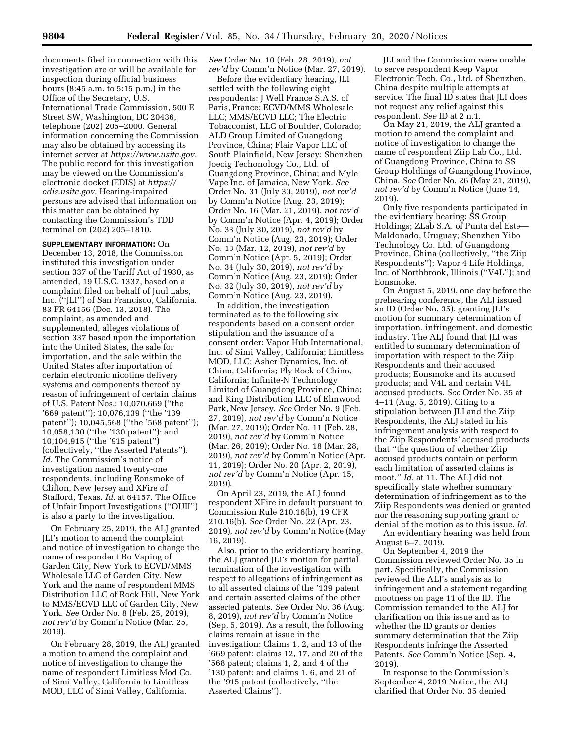documents filed in connection with this investigation are or will be available for inspection during official business hours (8:45 a.m. to 5:15 p.m.) in the Office of the Secretary, U.S. International Trade Commission, 500 E Street SW, Washington, DC 20436, telephone (202) 205–2000. General information concerning the Commission may also be obtained by accessing its internet server at *[https://www.usitc.gov.](https://www.usitc.gov)*  The public record for this investigation may be viewed on the Commission's electronic docket (EDIS) at *[https://](https://edis.usitc.gov) [edis.usitc.gov.](https://edis.usitc.gov)* Hearing-impaired persons are advised that information on this matter can be obtained by contacting the Commission's TDD terminal on (202) 205–1810.

**SUPPLEMENTARY INFORMATION:** On December 13, 2018, the Commission instituted this investigation under section 337 of the Tariff Act of 1930, as amended, 19 U.S.C. 1337, based on a complaint filed on behalf of Juul Labs, Inc. (''JLI'') of San Francisco, California. 83 FR 64156 (Dec. 13, 2018). The complaint, as amended and supplemented, alleges violations of section 337 based upon the importation into the United States, the sale for importation, and the sale within the United States after importation of certain electronic nicotine delivery systems and components thereof by reason of infringement of certain claims of U.S. Patent Nos.: 10,070,669 (''the '669 patent''); 10,076,139 (''the '139 patent''); 10,045,568 (''the '568 patent''); 10,058,130 (''the '130 patent''); and 10,104,915 (''the '915 patent'') (collectively, ''the Asserted Patents''). *Id.* The Commission's notice of investigation named twenty-one respondents, including Eonsmoke of Clifton, New Jersey and XFire of Stafford, Texas. *Id.* at 64157. The Office of Unfair Import Investigations (''OUII'') is also a party to the investigation.

On February 25, 2019, the ALJ granted JLI's motion to amend the complaint and notice of investigation to change the name of respondent Bo Vaping of Garden City, New York to ECVD/MMS Wholesale LLC of Garden City, New York and the name of respondent MMS Distribution LLC of Rock Hill, New York to MMS/ECVD LLC of Garden City, New York. *See* Order No. 8 (Feb. 25, 2019), *not rev'd* by Comm'n Notice (Mar. 25, 2019).

On February 28, 2019, the ALJ granted a motion to amend the complaint and notice of investigation to change the name of respondent Limitless Mod Co. of Simi Valley, California to Limitless MOD, LLC of Simi Valley, California.

*See* Order No. 10 (Feb. 28, 2019), *not rev'd* by Comm'n Notice (Mar. 27, 2019).

Before the evidentiary hearing, JLI settled with the following eight respondents: J Well France S.A.S. of Paris, France; ECVD/MMS Wholesale LLC; MMS/ECVD LLC; The Electric Tobacconist, LLC of Boulder, Colorado; ALD Group Limited of Guangdong Province, China; Flair Vapor LLC of South Plainfield, New Jersey; Shenzhen Joecig Techonology Co., Ltd. of Guangdong Province, China; and Myle Vape Inc. of Jamaica, New York. *See*  Order No. 31 (July 30, 2019), *not rev'd*  by Comm'n Notice (Aug. 23, 2019); Order No. 16 (Mar. 21, 2019), *not rev'd*  by Comm'n Notice (Apr. 4, 2019); Order No. 33 (July 30, 2019), *not rev'd* by Comm'n Notice (Aug. 23, 2019); Order No. 13 (Mar. 12, 2019), *not rev'd* by Comm'n Notice (Apr. 5, 2019); Order No. 34 (July 30, 2019), *not rev'd* by Comm'n Notice (Aug. 23, 2019); Order No. 32 (July 30, 2019), *not rev'd* by Comm'n Notice (Aug. 23, 2019).

In addition, the investigation terminated as to the following six respondents based on a consent order stipulation and the issuance of a consent order: Vapor Hub International, Inc. of Simi Valley, California; Limitless MOD, LLC; Asher Dynamics, Inc. of Chino, California; Ply Rock of Chino, California; Infinite-N Technology Limited of Guangdong Province, China; and King Distribution LLC of Elmwood Park, New Jersey. *See* Order No. 9 (Feb. 27, 2019), *not rev'd* by Comm'n Notice (Mar. 27, 2019); Order No. 11 (Feb. 28, 2019), *not rev'd* by Comm'n Notice (Mar. 26, 2019); Order No. 18 (Mar. 28, 2019), *not rev'd* by Comm'n Notice (Apr. 11, 2019); Order No. 20 (Apr. 2, 2019), *not rev'd* by Comm'n Notice (Apr. 15, 2019).

On April 23, 2019, the ALJ found respondent XFire in default pursuant to Commission Rule 210.16(b), 19 CFR 210.16(b). *See* Order No. 22 (Apr. 23, 2019), *not rev'd* by Comm'n Notice (May 16, 2019).

Also, prior to the evidentiary hearing, the ALJ granted JLI's motion for partial termination of the investigation with respect to allegations of infringement as to all asserted claims of the '139 patent and certain asserted claims of the other asserted patents. *See* Order No. 36 (Aug. 8, 2019), *not rev'd* by Comm'n Notice (Sep. 5, 2019). As a result, the following claims remain at issue in the investigation: Claims 1, 2, and 13 of the '669 patent; claims 12, 17, and 20 of the '568 patent; claims 1, 2, and 4 of the '130 patent; and claims 1, 6, and 21 of the '915 patent (collectively, ''the Asserted Claims'').

JLI and the Commission were unable to serve respondent Keep Vapor Electronic Tech. Co., Ltd. of Shenzhen, China despite multiple attempts at service. The final ID states that JLI does not request any relief against this respondent. *See* ID at 2 n.1.

On May 21, 2019, the ALJ granted a motion to amend the complaint and notice of investigation to change the name of respondent Ziip Lab Co., Ltd. of Guangdong Province, China to SS Group Holdings of Guangdong Province, China. *See* Order No. 26 (May 21, 2019), *not rev'd* by Comm'n Notice (June 14, 2019).

Only five respondents participated in the evidentiary hearing: SS Group Holdings; ZLab S.A. of Punta del Este— Maldonado, Uruguay; Shenzhen Yibo Technology Co. Ltd. of Guangdong Province, China (collectively, ''the Ziip Respondents''); Vapor 4 Life Holdings, Inc. of Northbrook, Illinois (''V4L''); and Eonsmoke.

On August 5, 2019, one day before the prehearing conference, the ALJ issued an ID (Order No. 35), granting JLI's motion for summary determination of importation, infringement, and domestic industry. The ALJ found that JLI was entitled to summary determination of importation with respect to the Ziip Respondents and their accused products; Eonsmoke and its accused products; and V4L and certain V4L accused products. *See* Order No. 35 at 4–11 (Aug. 5, 2019). Citing to a stipulation between JLI and the Ziip Respondents, the ALJ stated in his infringement analysis with respect to the Ziip Respondents' accused products that ''the question of whether Ziip accused products contain or perform each limitation of asserted claims is moot.'' *Id.* at 11. The ALJ did not specifically state whether summary determination of infringement as to the Ziip Respondents was denied or granted nor the reasoning supporting grant or denial of the motion as to this issue. *Id.* 

An evidentiary hearing was held from August 6–7, 2019.

On September 4, 2019 the Commission reviewed Order No. 35 in part. Specifically, the Commission reviewed the ALJ's analysis as to infringement and a statement regarding mootness on page 11 of the ID. The Commission remanded to the ALJ for clarification on this issue and as to whether the ID grants or denies summary determination that the Ziip Respondents infringe the Asserted Patents. *See* Comm'n Notice (Sep. 4, 2019).

In response to the Commission's September 4, 2019 Notice, the ALJ clarified that Order No. 35 denied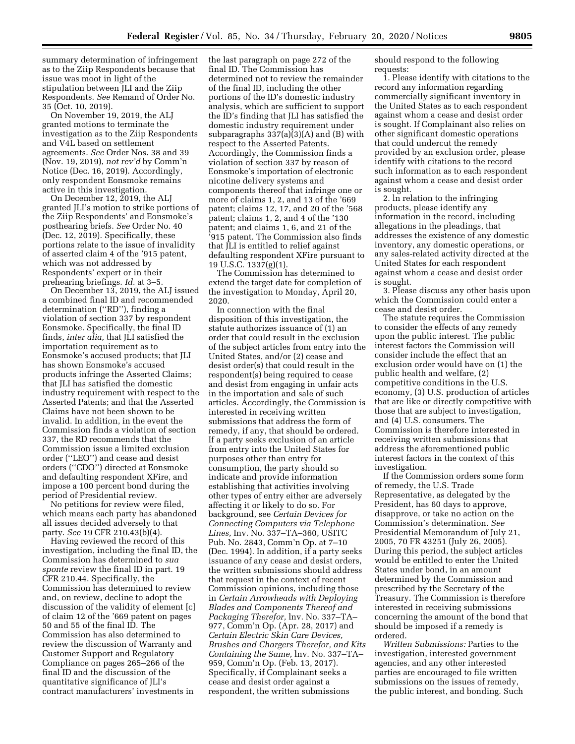summary determination of infringement as to the Ziip Respondents because that issue was moot in light of the stipulation between JLI and the Ziip Respondents. *See* Remand of Order No. 35 (Oct. 10, 2019).

On November 19, 2019, the ALJ granted motions to terminate the investigation as to the Ziip Respondents and V4L based on settlement agreements. *See* Order Nos. 38 and 39 (Nov. 19, 2019), *not rev'd* by Comm'n Notice (Dec. 16, 2019). Accordingly, only respondent Eonsmoke remains active in this investigation.

On December 12, 2019, the ALJ granted JLI's motion to strike portions of the Ziip Respondents' and Eonsmoke's posthearing briefs. *See* Order No. 40 (Dec. 12, 2019). Specifically, these portions relate to the issue of invalidity of asserted claim 4 of the '915 patent, which was not addressed by Respondents' expert or in their prehearing briefings. *Id.* at 3–5.

On December 13, 2019, the ALJ issued a combined final ID and recommended determination (''RD''), finding a violation of section 337 by respondent Eonsmoke. Specifically, the final ID finds, *inter alia,* that JLI satisfied the importation requirement as to Eonsmoke's accused products; that JLI has shown Eonsmoke's accused products infringe the Asserted Claims; that JLI has satisfied the domestic industry requirement with respect to the Asserted Patents; and that the Asserted Claims have not been shown to be invalid. In addition, in the event the Commission finds a violation of section 337, the RD recommends that the Commission issue a limited exclusion order (''LEO'') and cease and desist orders (''CDO'') directed at Eonsmoke and defaulting respondent XFire, and impose a 100 percent bond during the period of Presidential review.

No petitions for review were filed, which means each party has abandoned all issues decided adversely to that party. *See* 19 CFR 210.43(b)(4).

Having reviewed the record of this investigation, including the final ID, the Commission has determined to *sua sponte* review the final ID in part. 19 CFR 210.44. Specifically, the Commission has determined to review and, on review, decline to adopt the discussion of the validity of element [c] of claim 12 of the '669 patent on pages 50 and 55 of the final ID. The Commission has also determined to review the discussion of Warranty and Customer Support and Regulatory Compliance on pages 265–266 of the final ID and the discussion of the quantitative significance of JLI's contract manufacturers' investments in

the last paragraph on page 272 of the final ID. The Commission has determined not to review the remainder of the final ID, including the other portions of the ID's domestic industry analysis, which are sufficient to support the ID's finding that JLI has satisfied the domestic industry requirement under subparagraphs 337(a)(3)(A) and (B) with respect to the Asserted Patents. Accordingly, the Commission finds a violation of section 337 by reason of Eonsmoke's importation of electronic nicotine delivery systems and components thereof that infringe one or more of claims 1, 2, and 13 of the '669 patent; claims 12, 17, and 20 of the '568 patent; claims 1, 2, and 4 of the '130 patent; and claims 1, 6, and 21 of the '915 patent. The Commission also finds that JLI is entitled to relief against defaulting respondent XFire pursuant to 19 U.S.C. 1337(g)(1).

The Commission has determined to extend the target date for completion of the investigation to Monday, April 20, 2020.

In connection with the final disposition of this investigation, the statute authorizes issuance of (1) an order that could result in the exclusion of the subject articles from entry into the United States, and/or (2) cease and desist order(s) that could result in the respondent(s) being required to cease and desist from engaging in unfair acts in the importation and sale of such articles. Accordingly, the Commission is interested in receiving written submissions that address the form of remedy, if any, that should be ordered. If a party seeks exclusion of an article from entry into the United States for purposes other than entry for consumption, the party should so indicate and provide information establishing that activities involving other types of entry either are adversely affecting it or likely to do so. For background, see *Certain Devices for Connecting Computers via Telephone Lines,* Inv. No. 337–TA–360, USITC Pub. No. 2843, Comm'n Op. at 7–10 (Dec. 1994). In addition, if a party seeks issuance of any cease and desist orders, the written submissions should address that request in the context of recent Commission opinions, including those in *Certain Arrowheads with Deploying Blades and Components Thereof and Packaging Therefor,* lnv. No. 337–TA– 977, Comm'n Op. (Apr. 28, 2017) and *Certain Electric Skin Care Devices, Brushes and Chargers Therefor, and Kits Containing the Same,* lnv. No. 337–TA– 959, Comm'n Op. (Feb. 13, 2017). Specifically, if Complainant seeks a cease and desist order against a respondent, the written submissions

should respond to the following requests:

1. Please identify with citations to the record any information regarding commercially significant inventory in the United States as to each respondent against whom a cease and desist order is sought. If Complainant also relies on other significant domestic operations that could undercut the remedy provided by an exclusion order, please identify with citations to the record such information as to each respondent against whom a cease and desist order is sought.

2. ln relation to the infringing products, please identify any information in the record, including allegations in the pleadings, that addresses the existence of any domestic inventory, any domestic operations, or any sales-related activity directed at the United States for each respondent against whom a cease and desist order is sought.

3. Please discuss any other basis upon which the Commission could enter a cease and desist order.

The statute requires the Commission to consider the effects of any remedy upon the public interest. The public interest factors the Commission will consider include the effect that an exclusion order would have on (1) the public health and welfare, (2) competitive conditions in the U.S. economy, (3) U.S. production of articles that are like or directly competitive with those that are subject to investigation, and (4) U.S. consumers. The Commission is therefore interested in receiving written submissions that address the aforementioned public interest factors in the context of this investigation.

If the Commission orders some form of remedy, the U.S. Trade Representative, as delegated by the President, has 60 days to approve, disapprove, or take no action on the Commission's determination. *See*  Presidential Memorandum of July 21, 2005, 70 FR 43251 (July 26, 2005). During this period, the subject articles would be entitled to enter the United States under bond, in an amount determined by the Commission and prescribed by the Secretary of the Treasury. The Commission is therefore interested in receiving submissions concerning the amount of the bond that should be imposed if a remedy is ordered.

*Written Submissions:* Parties to the investigation, interested government agencies, and any other interested parties are encouraged to file written submissions on the issues of remedy, the public interest, and bonding. Such